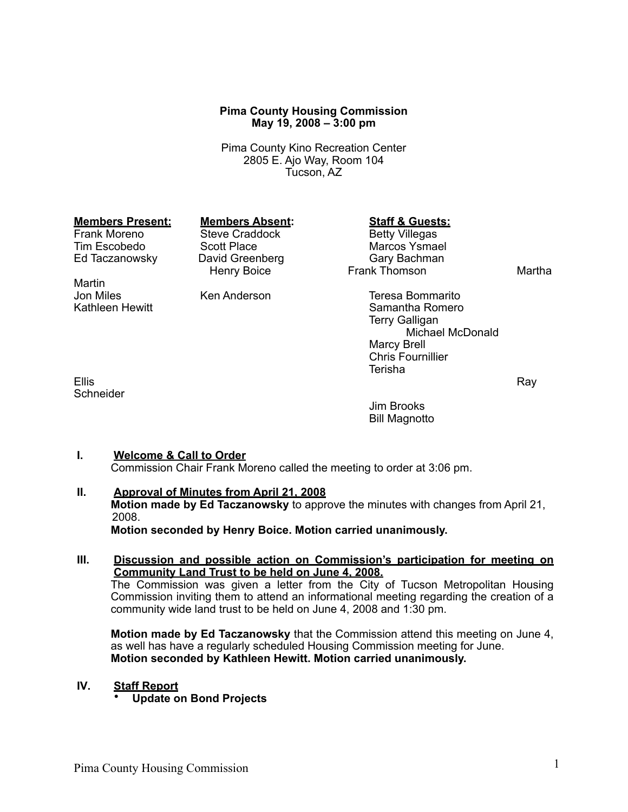### **Pima County Housing Commission May 19, 2008 – 3:00 pm**

Pima County Kino Recreation Center 2805 E. Ajo Way, Room 104 Tucson, AZ

Martin<br>Jon Miles

**Schneider** 

Steve Craddock<br>Scott Place Tim Escobedo Scott Place Communisty Marcos Ysmael<br>Ed Taczanowsky Bavid Greenberg Correst Cary Bachman Ed Taczanowsky David Greenberg<br>Henry Boice

# **Members Present: Members Absent: Staff & Guests:**<br>
Frank Moreno Steve Craddock Betty Villegas

Frank Thomson Martha

Jon Miles **Teresa Bommarito**<br>Kathleen Hewitt **Kathleen Hewitt** Kathleen Hewitt Samantha Romero Terry Galligan Michael McDonald Marcy Brell Chris Fournillier Terisha

Ellis Ray Roman Research Contract Contract Contract Contract Contract Contract Contract Contract Contract Contract Contract Contract Contract Contract Contract Contract Contract Contract Contract Contract Contract Contract

Jim Brooks Bill Magnotto

#### **I. Welcome & Call to Order**

Commission Chair Frank Moreno called the meeting to order at 3:06 pm.

## **II. Approval of Minutes from April 21, 2008**

**Motion made by Ed Taczanowsky** to approve the minutes with changes from April 21, 2008.

**Motion seconded by Henry Boice. Motion carried unanimously.**

#### **III. Discussion and possible action on Commission's participation for meeting on Community Land Trust to be held on June 4, 2008.** The Commission was given a letter from the City of Tucson Metropolitan Housing

Commission inviting them to attend an informational meeting regarding the creation of a community wide land trust to be held on June 4, 2008 and 1:30 pm.

**Motion made by Ed Taczanowsky** that the Commission attend this meeting on June 4, as well has have a regularly scheduled Housing Commission meeting for June. **Motion seconded by Kathleen Hewitt. Motion carried unanimously.**

#### **IV. Staff Report**

• **Update on Bond Projects**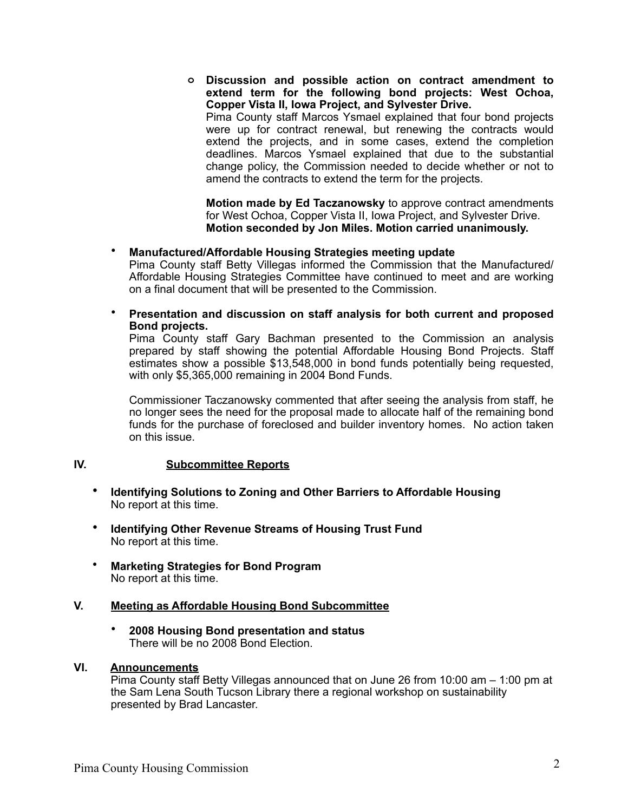**o Discussion and possible action on contract amendment to extend term for the following bond projects: West Ochoa, Copper Vista II, Iowa Project, and Sylvester Drive.** 

Pima County staff Marcos Ysmael explained that four bond projects were up for contract renewal, but renewing the contracts would extend the projects, and in some cases, extend the completion deadlines. Marcos Ysmael explained that due to the substantial change policy, the Commission needed to decide whether or not to amend the contracts to extend the term for the projects.

**Motion made by Ed Taczanowsky** to approve contract amendments for West Ochoa, Copper Vista II, Iowa Project, and Sylvester Drive. **Motion seconded by Jon Miles. Motion carried unanimously.**

# • **Manufactured/Affordable Housing Strategies meeting update**

Pima County staff Betty Villegas informed the Commission that the Manufactured/ Affordable Housing Strategies Committee have continued to meet and are working on a final document that will be presented to the Commission.

• **Presentation and discussion on staff analysis for both current and proposed Bond projects.**

Pima County staff Gary Bachman presented to the Commission an analysis prepared by staff showing the potential Affordable Housing Bond Projects. Staff estimates show a possible \$13,548,000 in bond funds potentially being requested, with only \$5,365,000 remaining in 2004 Bond Funds.

Commissioner Taczanowsky commented that after seeing the analysis from staff, he no longer sees the need for the proposal made to allocate half of the remaining bond funds for the purchase of foreclosed and builder inventory homes. No action taken on this issue.

# **IV. Subcommittee Reports**

- **Identifying Solutions to Zoning and Other Barriers to Affordable Housing** No report at this time.
- **Identifying Other Revenue Streams of Housing Trust Fund** No report at this time.
- **Marketing Strategies for Bond Program** No report at this time.

# **V. Meeting as Affordable Housing Bond Subcommittee**

• **2008 Housing Bond presentation and status** There will be no 2008 Bond Election.

#### **VI. Announcements**

Pima County staff Betty Villegas announced that on June 26 from 10:00 am – 1:00 pm at the Sam Lena South Tucson Library there a regional workshop on sustainability presented by Brad Lancaster.